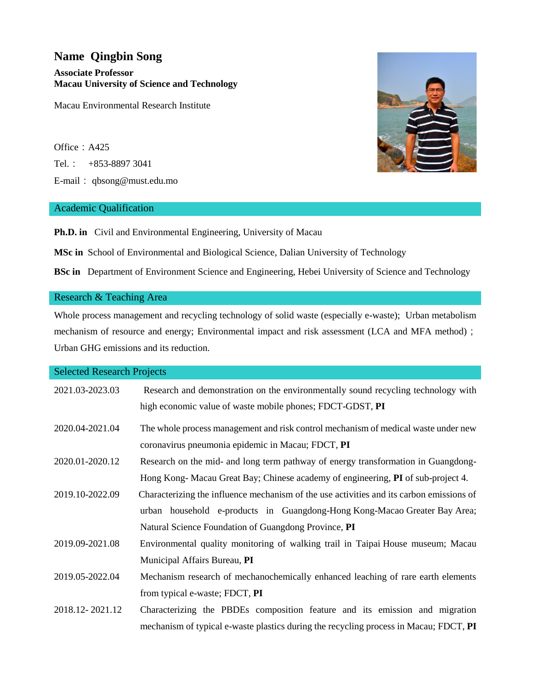# **Name Qingbin Song Associate Professor Macau University of Science and Technology**

Macau Environmental Research Institute

Office: A425 Tel.: +853-8897 3041 E-mail: qbsong@must.edu.mo

# Academic Qualification

**Ph.D. in** Civil and Environmental Engineering, University of Macau

**MSc in** School of Environmental and Biological Science, Dalian University of Technology

**BSc in** Department of Environment Science and Engineering, Hebei University of Science and Technology

## Research & Teaching Area

Whole process management and recycling technology of solid waste (especially e-waste); Urban metabolism mechanism of resource and energy; Environmental impact and risk assessment (LCA and MFA method); Urban GHG emissions and its reduction.

## Selected Research Projects

| 2021.03-2023.03 | Research and demonstration on the environmentally sound recycling technology with        |
|-----------------|------------------------------------------------------------------------------------------|
|                 | high economic value of waste mobile phones; FDCT-GDST, PI                                |
| 2020.04-2021.04 | The whole process management and risk control mechanism of medical waste under new       |
|                 | coronavirus pneumonia epidemic in Macau; FDCT, PI                                        |
| 2020.01-2020.12 | Research on the mid- and long term pathway of energy transformation in Guangdong-        |
|                 | Hong Kong-Macau Great Bay; Chinese academy of engineering, PI of sub-project 4.          |
| 2019.10-2022.09 | Characterizing the influence mechanism of the use activities and its carbon emissions of |
|                 | urban household e-products in Guangdong-Hong Kong-Macao Greater Bay Area;                |
|                 | Natural Science Foundation of Guangdong Province, PI                                     |
| 2019.09-2021.08 | Environmental quality monitoring of walking trail in Taipai House museum; Macau          |
|                 | Municipal Affairs Bureau, PI                                                             |
| 2019.05-2022.04 | Mechanism research of mechanochemically enhanced leaching of rare earth elements         |
|                 | from typical e-waste; FDCT, PI                                                           |
| 2018.12-2021.12 | Characterizing the PBDEs composition feature and its emission and migration              |
|                 | mechanism of typical e-waste plastics during the recycling process in Macau; FDCT, PI    |

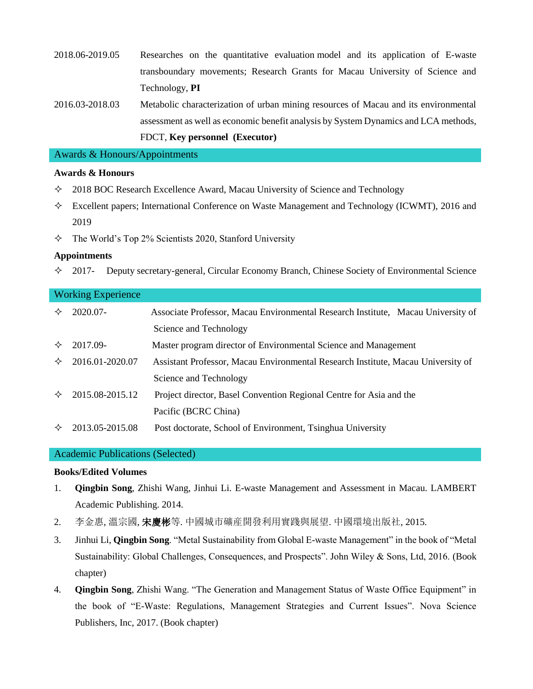- 2018.06-2019.05 Researches on the quantitative evaluation model and its application of E-waste transboundary movements; Research Grants for Macau University of Science and Technology, **PI**
- 2016.03-2018.03 Metabolic characterization of urban mining resources of Macau and its environmental assessment as well as economic benefit analysis by System Dynamics and LCA methods, FDCT, **Key personnel (Executor)**

## Awards & Honours/Appointments

# **Awards & Honours**

- $\div$  2018 BOC Research Excellence Award, Macau University of Science and Technology
- Excellent papers; International Conference on Waste Management and Technology (ICWMT), 2016 and 2019
- $\div$  The World's Top 2% Scientists 2020, Stanford University

## **Appointments**

 $\div$  2017- Deputy secretary-general, Circular Economy Branch, Chinese Society of Environmental Science

## Working Experience

| ✧ | 2020.07-        | Associate Professor, Macau Environmental Research Institute, Macau University of |
|---|-----------------|----------------------------------------------------------------------------------|
|   |                 | Science and Technology                                                           |
| ✧ | 2017.09-        | Master program director of Environmental Science and Management                  |
| ✧ | 2016.01-2020.07 | Assistant Professor, Macau Environmental Research Institute, Macau University of |
|   |                 | Science and Technology                                                           |
| ✧ | 2015.08-2015.12 | Project director, Basel Convention Regional Centre for Asia and the              |
|   |                 | Pacific (BCRC China)                                                             |
| ✧ | 2013.05-2015.08 | Post doctorate, School of Environment, Tsinghua University                       |

#### Academic Publications (Selected)

#### **Books/Edited Volumes**

- 1. **Qingbin Song**, Zhishi Wang, Jinhui Li. E-waste Management and Assessment in Macau. LAMBERT Academic Publishing. 2014.
- 2. 李金惠, 溫宗國, 宋慶彬等. 中國城市礦産開發利用實踐與展望. 中國環境出版社, 2015.
- 3. Jinhui Li, **Qingbin Song**. "Metal Sustainability from Global E-waste Management" in the book of "Metal Sustainability: Global Challenges, Consequences, and Prospects". John Wiley & Sons, Ltd, 2016. (Book chapter)
- 4. **Qingbin Song**, Zhishi Wang. "The Generation and Management Status of Waste Office Equipment" in the book of "E-Waste: Regulations, Management Strategies and Current Issues". Nova Science Publishers, Inc, 2017. (Book chapter)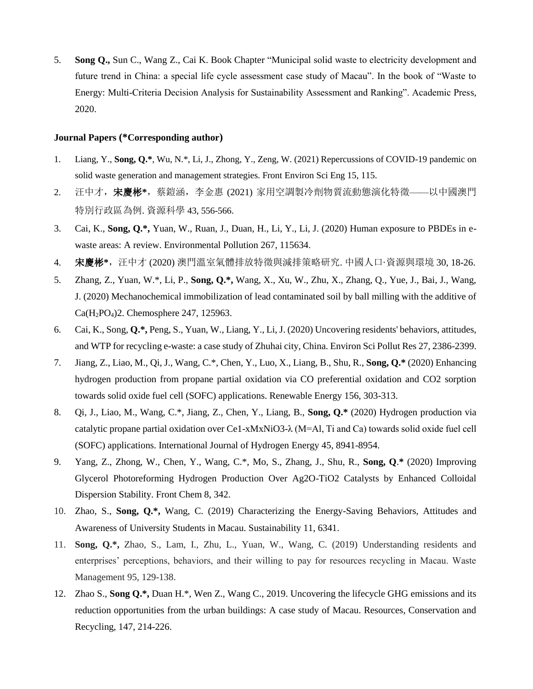5. **Song Q.,** Sun C., Wang Z., Cai K. Book Chapter "Municipal solid waste to electricity development and future trend in China: a special life cycle assessment case study of Macau". In the book of "Waste to Energy: Multi-Criteria Decision Analysis for Sustainability Assessment and Ranking". Academic Press, 2020.

#### **Journal Papers (\*Corresponding author)**

- 1. Liang, Y., **Song, Q.\***, Wu, N.\*, Li, J., Zhong, Y., Zeng, W. (2021) Repercussions of COVID-19 pandemic on solid waste generation and management strategies. Front Environ Sci Eng 15, 115.
- 2. 汪中才,宋慶彬**\***,蔡鎧涵,李金惠 (2021) 家用空調製冷劑物質流動態演化特徵——以中國澳門 特別行政區為例. 資源科學 43, 556-566.
- 3. Cai, K., **Song, Q.\*,** Yuan, W., Ruan, J., Duan, H., Li, Y., Li, J. (2020) Human exposure to PBDEs in ewaste areas: A review. Environmental Pollution 267, 115634.
- 4. 宋慶彬**\***,汪中才 (2020) 澳門溫室氣體排放特徵與減排策略研究. 中國人口·資源與環境 30, 18-26.
- 5. Zhang, Z., Yuan, W.\*, Li, P., **Song, Q.\*,** Wang, X., Xu, W., Zhu, X., Zhang, Q., Yue, J., Bai, J., Wang, J. (2020) Mechanochemical immobilization of lead contaminated soil by ball milling with the additive of Ca(H2PO4)2. Chemosphere 247, 125963.
- 6. Cai, K., Song, **Q.\*,** Peng, S., Yuan, W., Liang, Y., Li, J. (2020) Uncovering residents' behaviors, attitudes, and WTP for recycling e-waste: a case study of Zhuhai city, China. Environ Sci Pollut Res 27, 2386-2399.
- 7. Jiang, Z., Liao, M., Qi, J., Wang, C.\*, Chen, Y., Luo, X., Liang, B., Shu, R., **Song, Q.\*** (2020) Enhancing hydrogen production from propane partial oxidation via CO preferential oxidation and CO2 sorption towards solid oxide fuel cell (SOFC) applications. Renewable Energy 156, 303-313.
- 8. Qi, J., Liao, M., Wang, C.\*, Jiang, Z., Chen, Y., Liang, B., **Song, Q.\*** (2020) Hydrogen production via catalytic propane partial oxidation over Ce1-xMxNiO3-λ (M=Al, Ti and Ca) towards solid oxide fuel cell (SOFC) applications. International Journal of Hydrogen Energy 45, 8941-8954.
- 9. Yang, Z., Zhong, W., Chen, Y., Wang, C.\*, Mo, S., Zhang, J., Shu, R., **Song, Q**.**\*** (2020) Improving Glycerol Photoreforming Hydrogen Production Over Ag2O-TiO2 Catalysts by Enhanced Colloidal Dispersion Stability. Front Chem 8, 342.
- 10. Zhao, S., **Song, Q.\*,** Wang, C. (2019) Characterizing the Energy-Saving Behaviors, Attitudes and Awareness of University Students in Macau. Sustainability 11, 6341.
- 11. **Song, Q.\*,** Zhao, S., Lam, I., Zhu, L., Yuan, W., Wang, C. (2019) Understanding residents and enterprises' perceptions, behaviors, and their willing to pay for resources recycling in Macau. Waste Management 95, 129-138.
- 12. Zhao S., **Song Q.\*,** Duan H.\*, Wen Z., Wang C., 2019. Uncovering the lifecycle GHG emissions and its reduction opportunities from the urban buildings: A case study of Macau. Resources, Conservation and Recycling, 147, 214-226.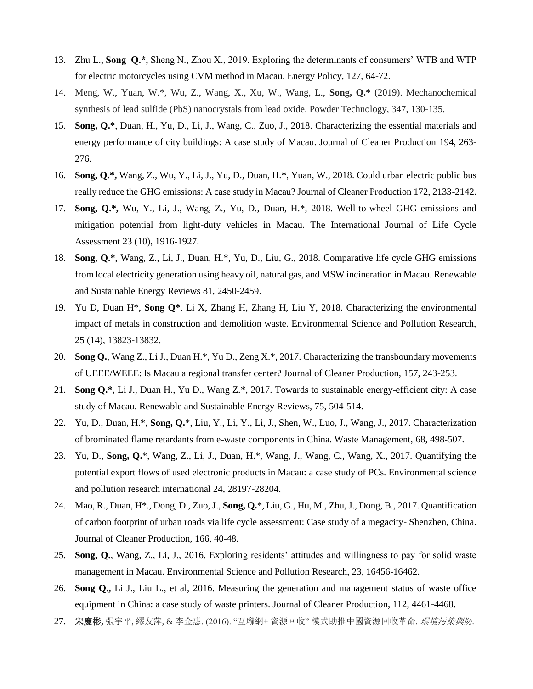- 13. Zhu L., **Song Q.\***, Sheng N., Zhou X., 2019. Exploring the determinants of consumers' WTB and WTP for electric motorcycles using CVM method in Macau. Energy Policy, 127, 64-72.
- 14. Meng, W., Yuan, W.\*, Wu, Z., Wang, X., Xu, W., Wang, L., **Song, Q.\*** (2019). Mechanochemical synthesis of lead sulfide (PbS) nanocrystals from lead oxide. Powder Technology, 347, 130-135.
- 15. **Song, Q.\***, Duan, H., Yu, D., Li, J., Wang, C., Zuo, J., 2018. Characterizing the essential materials and energy performance of city buildings: A case study of Macau. Journal of Cleaner Production 194, 263- 276.
- 16. **Song, Q.\*,** Wang, Z., Wu, Y., Li, J., Yu, D., Duan, H.\*, Yuan, W., 2018. Could urban electric public bus really reduce the GHG emissions: A case study in Macau? Journal of Cleaner Production 172, 2133-2142.
- 17. **Song, Q.\*,** Wu, Y., Li, J., Wang, Z., Yu, D., Duan, H.\*, 2018. Well-to-wheel GHG emissions and mitigation potential from light-duty vehicles in Macau. The International Journal of Life Cycle Assessment 23 (10), 1916-1927.
- 18. **Song, Q.\*,** Wang, Z., Li, J., Duan, H.\*, Yu, D., Liu, G., 2018. Comparative life cycle GHG emissions from local electricity generation using heavy oil, natural gas, and MSW incineration in Macau. Renewable and Sustainable Energy Reviews 81, 2450-2459.
- 19. Yu D, Duan H\*, **Song Q\***, Li X, Zhang H, Zhang H, Liu Y, 2018. Characterizing the environmental impact of metals in construction and demolition waste. Environmental Science and Pollution Research, 25 (14), 13823-13832.
- 20. **Song Q.**, Wang Z., Li J., Duan H.\*, Yu D., Zeng X.\*, 2017. Characterizing the transboundary movements of UEEE/WEEE: Is Macau a regional transfer center? Journal of Cleaner Production, 157, 243-253.
- 21. **Song Q.\***, Li J., Duan H., Yu D., Wang Z.\*, 2017. Towards to sustainable energy-efficient city: A case study of Macau. Renewable and Sustainable Energy Reviews, 75, 504-514.
- 22. Yu, D., Duan, H.\*, **Song, Q.**\*, Liu, Y., Li, Y., Li, J., Shen, W., Luo, J., Wang, J., 2017. Characterization of brominated flame retardants from e-waste components in China. Waste Management, 68, 498-507.
- 23. Yu, D., **Song, Q.**\*, Wang, Z., Li, J., Duan, H.\*, Wang, J., Wang, C., Wang, X., 2017. Quantifying the potential export flows of used electronic products in Macau: a case study of PCs. Environmental science and pollution research international 24, 28197-28204.
- 24. Mao, R., Duan, H\*., Dong, D., Zuo, J., **Song, Q.**\*, Liu, G., Hu, M., Zhu, J., Dong, B., 2017. Quantification of carbon footprint of urban roads via life cycle assessment: Case study of a megacity- Shenzhen, China. Journal of Cleaner Production, 166, 40-48.
- 25. **Song, Q.**, Wang, Z., Li, J., 2016. Exploring residents' attitudes and willingness to pay for solid waste management in Macau. Environmental Science and Pollution Research, 23, 16456-16462.
- 26. **Song Q.,** Li J., Liu L., et al, 2016. Measuring the generation and management status of waste office equipment in China: a case study of waste printers. Journal of Cleaner Production, 112, 4461-4468.
- 27. 宋慶彬**,** 張宇平, 繆友萍, & 李金惠. (2016). "互聯網+ 資源回收" 模式助推中國資源回收革命. 環境污染與防*.*